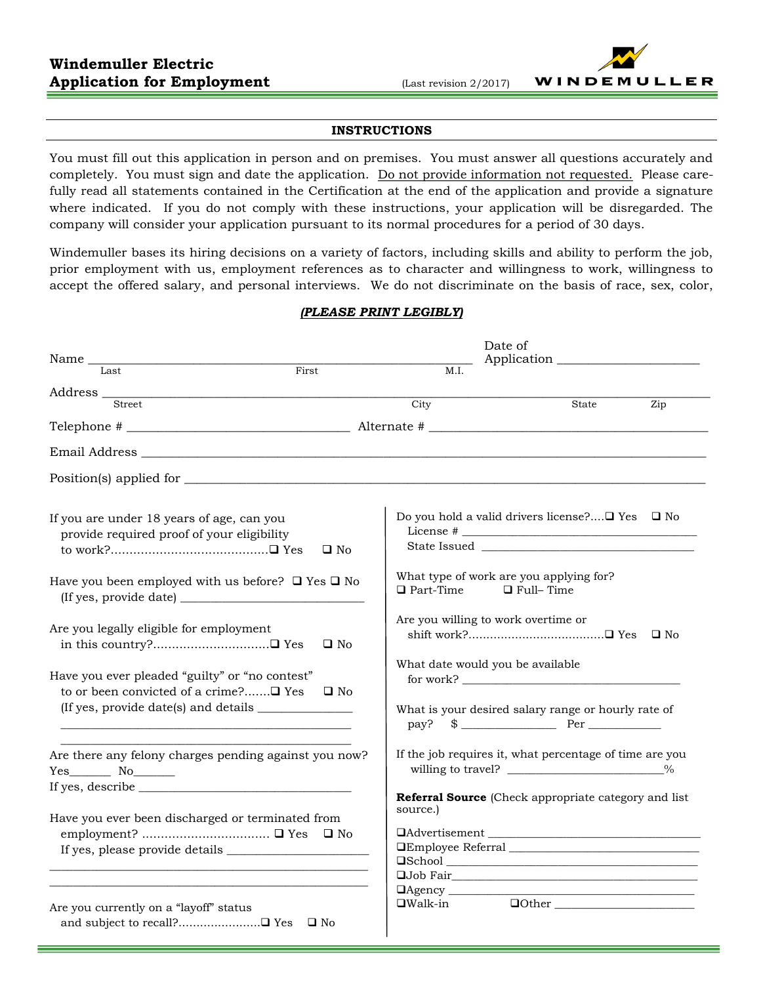#### **INSTRUCTIONS**

You must fill out this application in person and on premises. You must answer all questions accurately and completely. You must sign and date the application. Do not provide information not requested. Please carefully read all statements contained in the Certification at the end of the application and provide a signature where indicated. If you do not comply with these instructions, your application will be disregarded. The company will consider your application pursuant to its normal procedures for a period of 30 days.

Windemuller bases its hiring decisions on a variety of factors, including skills and ability to perform the job, prior employment with us, employment references as to character and willingness to work, willingness to accept the offered salary, and personal interviews. We do not discriminate on the basis of race, sex, color,

### *(PLEASE PRINT LEGIBLY)*

| Name                                                                                                    | Date of<br>Application                                                          |                                                                                                                                        |  |  |  |
|---------------------------------------------------------------------------------------------------------|---------------------------------------------------------------------------------|----------------------------------------------------------------------------------------------------------------------------------------|--|--|--|
| Last<br>First                                                                                           | M.I.                                                                            |                                                                                                                                        |  |  |  |
| Address <u>Street</u>                                                                                   |                                                                                 |                                                                                                                                        |  |  |  |
|                                                                                                         | $\overline{\mathrm{City}}$                                                      | State<br>Zip                                                                                                                           |  |  |  |
|                                                                                                         |                                                                                 |                                                                                                                                        |  |  |  |
|                                                                                                         |                                                                                 |                                                                                                                                        |  |  |  |
|                                                                                                         |                                                                                 |                                                                                                                                        |  |  |  |
| If you are under 18 years of age, can you<br>provide required proof of your eligibility<br>$\square$ No |                                                                                 | Do you hold a valid drivers license? $\Box$ Yes $\Box$ No                                                                              |  |  |  |
| Have you been employed with us before? $\Box$ Yes $\Box$ No                                             | What type of work are you applying for?<br>$\Box$ Full–Time<br>$\Box$ Part-Time |                                                                                                                                        |  |  |  |
| Are you legally eligible for employment<br>$\square$ No                                                 | Are you willing to work overtime or                                             |                                                                                                                                        |  |  |  |
| Have you ever pleaded "guilty" or "no contest"<br>to or been convicted of a crime?□ Yes<br>$\square$ No | What date would you be available                                                | for work?                                                                                                                              |  |  |  |
|                                                                                                         |                                                                                 | What is your desired salary range or hourly rate of<br>$pay?$ \$ Per Per                                                               |  |  |  |
| Are there any felony charges pending against you now?<br>$Yes$ No $No$                                  |                                                                                 | If the job requires it, what percentage of time are you<br>willing to travel? ______________________________%                          |  |  |  |
|                                                                                                         |                                                                                 | <b>Referral Source</b> (Check appropriate category and list                                                                            |  |  |  |
| Have you ever been discharged or terminated from                                                        | source.)                                                                        | DAdvertisement                                                                                                                         |  |  |  |
| Are you currently on a "layoff" status<br>and subject to recall?□ Yes □ No                              | $\Box$ Agency<br>$\square$ Walk-in                                              | <u> 1980 - Jan Stein Harry Harry Harry Harry Harry Harry Harry Harry Harry Harry Harry Harry Harry Harry Harry Har</u><br>$\Box$ Other |  |  |  |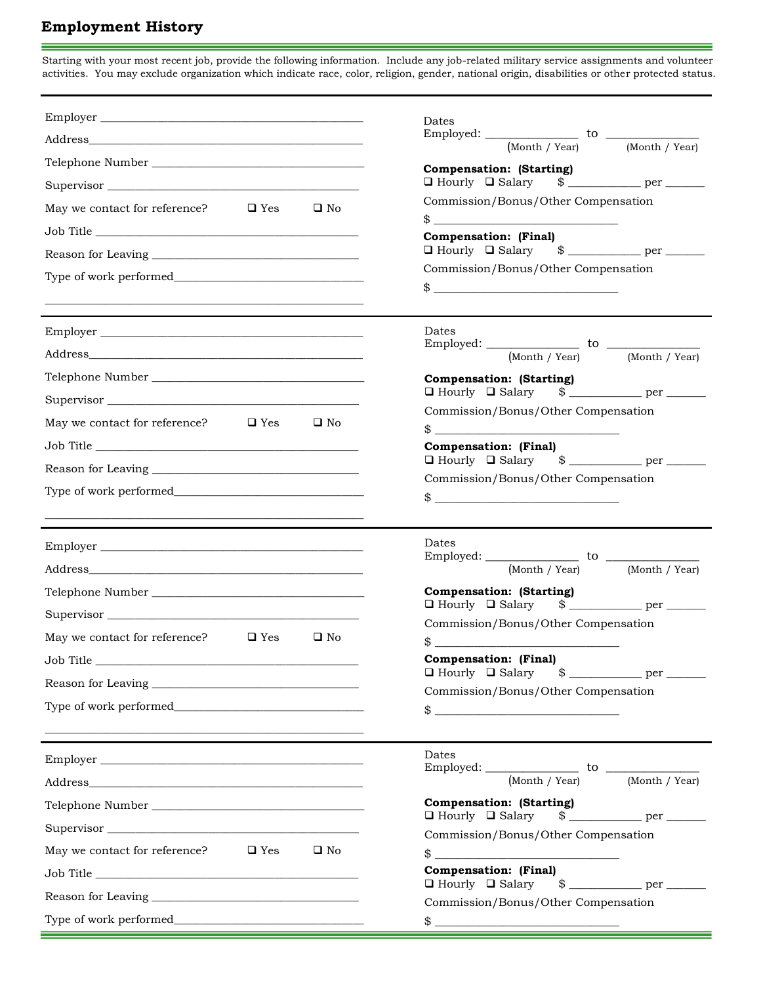# **Employment History**

Starting with your most recent job, provide the following information. Include any job-related military service assignments and volunteer activities. You may exclude organization which indicate race, color, religion, gender, national origin, disabilities or other protected status.

m.

|                                                          | Dates                                                                                                                                                                                                                                                                                                                                        |
|----------------------------------------------------------|----------------------------------------------------------------------------------------------------------------------------------------------------------------------------------------------------------------------------------------------------------------------------------------------------------------------------------------------|
|                                                          | Employed: $\frac{1}{\frac{(\text{Month } / \text{Year})}{(\text{Month } / \text{Year})}}$ to $\frac{1}{\frac{(\text{Month } / \text{Year})}{(\text{Month } / \text{Year})}}$                                                                                                                                                                 |
|                                                          | <b>Compensation: (Starting)</b>                                                                                                                                                                                                                                                                                                              |
| Supervisor                                               |                                                                                                                                                                                                                                                                                                                                              |
| May we contact for reference? $\Box$ Yes<br>$\square$ No | Commission/Bonus/Other Compensation                                                                                                                                                                                                                                                                                                          |
|                                                          | $\frac{1}{2}$ $\frac{1}{2}$ $\frac{1}{2}$ $\frac{1}{2}$ $\frac{1}{2}$ $\frac{1}{2}$ $\frac{1}{2}$ $\frac{1}{2}$ $\frac{1}{2}$ $\frac{1}{2}$ $\frac{1}{2}$ $\frac{1}{2}$ $\frac{1}{2}$ $\frac{1}{2}$ $\frac{1}{2}$ $\frac{1}{2}$ $\frac{1}{2}$ $\frac{1}{2}$ $\frac{1}{2}$ $\frac{1}{2}$ $\frac{1}{2}$ $\frac{1}{2}$<br>Compensation: (Final) |
|                                                          |                                                                                                                                                                                                                                                                                                                                              |
|                                                          | Commission/Bonus/Other Compensation                                                                                                                                                                                                                                                                                                          |
|                                                          | $\frac{1}{2}$ $\frac{1}{2}$ $\frac{1}{2}$ $\frac{1}{2}$ $\frac{1}{2}$ $\frac{1}{2}$ $\frac{1}{2}$ $\frac{1}{2}$ $\frac{1}{2}$ $\frac{1}{2}$ $\frac{1}{2}$ $\frac{1}{2}$ $\frac{1}{2}$ $\frac{1}{2}$ $\frac{1}{2}$ $\frac{1}{2}$ $\frac{1}{2}$ $\frac{1}{2}$ $\frac{1}{2}$ $\frac{1}{2}$ $\frac{1}{2}$ $\frac{1}{2}$                          |
| Employer                                                 | Dates                                                                                                                                                                                                                                                                                                                                        |
|                                                          |                                                                                                                                                                                                                                                                                                                                              |
|                                                          | <b>Compensation: (Starting)</b>                                                                                                                                                                                                                                                                                                              |
| Supervisor                                               |                                                                                                                                                                                                                                                                                                                                              |
| May we contact for reference? $\Box$ Yes<br>$\square$ No | Commission/Bonus/Other Compensation<br>$\frac{1}{2}$                                                                                                                                                                                                                                                                                         |
| Job Title                                                | <b>Compensation: (Final)</b>                                                                                                                                                                                                                                                                                                                 |
|                                                          |                                                                                                                                                                                                                                                                                                                                              |
|                                                          | Commission/Bonus/Other Compensation<br>$\frac{1}{2}$                                                                                                                                                                                                                                                                                         |
|                                                          |                                                                                                                                                                                                                                                                                                                                              |
| Employer                                                 | Dates                                                                                                                                                                                                                                                                                                                                        |
|                                                          | Employed: $\frac{1}{\frac{(\text{Month } / \text{Year})}{(\text{Month } / \text{Year})}}$ to $\frac{1}{\frac{(\text{Month } / \text{Year})}{(\text{Month } / \text{Year})}}$                                                                                                                                                                 |
|                                                          | <b>Compensation: (Starting)</b>                                                                                                                                                                                                                                                                                                              |
|                                                          | $\Box$ Hourly $\Box$ Salary $\$\_$<br>Commission/Bonus/Other Compensation                                                                                                                                                                                                                                                                    |
| May we contact for reference? $\Box$ Yes<br>$\Box$ No    | $\frac{1}{2}$ $\frac{1}{2}$ $\frac{1}{2}$ $\frac{1}{2}$ $\frac{1}{2}$ $\frac{1}{2}$ $\frac{1}{2}$ $\frac{1}{2}$ $\frac{1}{2}$ $\frac{1}{2}$ $\frac{1}{2}$ $\frac{1}{2}$ $\frac{1}{2}$ $\frac{1}{2}$ $\frac{1}{2}$ $\frac{1}{2}$ $\frac{1}{2}$ $\frac{1}{2}$ $\frac{1}{2}$ $\frac{1}{2}$ $\frac{1}{2}$ $\frac{1}{2}$                          |
|                                                          | <b>Compensation:</b> (Final)                                                                                                                                                                                                                                                                                                                 |
|                                                          | $\Box$ Hourly $\Box$ Salary $\$\_$<br>Commission/Bonus/Other Compensation                                                                                                                                                                                                                                                                    |
|                                                          | $\frac{1}{2}$                                                                                                                                                                                                                                                                                                                                |
|                                                          |                                                                                                                                                                                                                                                                                                                                              |
|                                                          |                                                                                                                                                                                                                                                                                                                                              |
| Employer                                                 | Dates                                                                                                                                                                                                                                                                                                                                        |
|                                                          | (Month / Year)<br>(Month / Year)                                                                                                                                                                                                                                                                                                             |
|                                                          | <b>Compensation: (Starting)</b>                                                                                                                                                                                                                                                                                                              |
| Supervisor                                               | $\Box$ Hourly $\Box$ Salary<br>Commission/Bonus/Other Compensation                                                                                                                                                                                                                                                                           |
| May we contact for reference? $\Box$ Yes<br>$\square$ No | $\frac{1}{2}$ $\frac{1}{2}$ $\frac{1}{2}$ $\frac{1}{2}$ $\frac{1}{2}$ $\frac{1}{2}$ $\frac{1}{2}$ $\frac{1}{2}$ $\frac{1}{2}$ $\frac{1}{2}$ $\frac{1}{2}$ $\frac{1}{2}$ $\frac{1}{2}$ $\frac{1}{2}$ $\frac{1}{2}$ $\frac{1}{2}$ $\frac{1}{2}$ $\frac{1}{2}$ $\frac{1}{2}$ $\frac{1}{2}$ $\frac{1}{2}$ $\frac{1}{2}$                          |
|                                                          | <b>Compensation: (Final)</b>                                                                                                                                                                                                                                                                                                                 |
|                                                          | Commission/Bonus/Other Compensation                                                                                                                                                                                                                                                                                                          |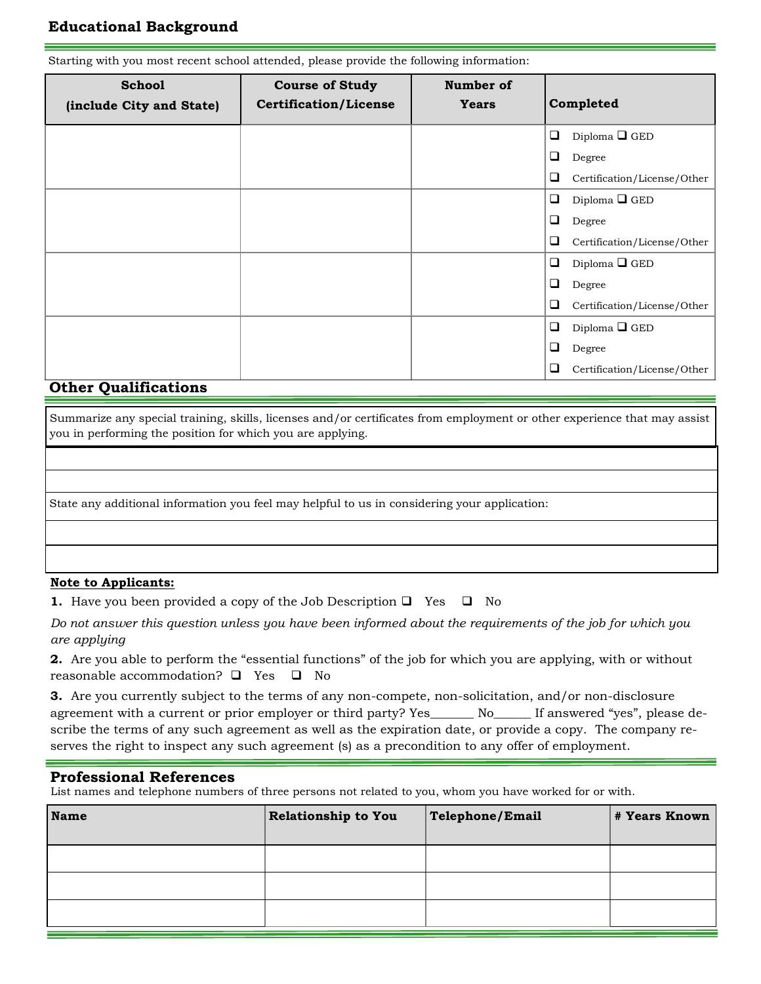## **Educational Background**

**School (include City and State) Course of Study Certification/License Number of Years Completed**  $\Box$  Diploma  $\Box$  GED **Degree**  Certification/License/Other  $\Box$  Diploma  $\Box$  GED **Degree**  Certification/License/Other  $\Box$  Diploma  $\Box$  GED **D**egree  $\hfill\Box$  <br> Certification/License/Other  $\Box$  Diploma  $\Box$  GED **D**egree Certification/License/Other

#### Starting with you most recent school attended, please provide the following information:

## **Other Qualifications**

Summarize any special training, skills, licenses and/or certificates from employment or other experience that may assist you in performing the position for which you are applying.

State any additional information you feel may helpful to us in considering your application:

## **Note to Applicants:**

| <b>1.</b> Have you been provided a copy of the Job Description $\Box$ Yes $\Box$ No |  |  |  |  |  |
|-------------------------------------------------------------------------------------|--|--|--|--|--|
|                                                                                     |  |  |  |  |  |

*Do not answer this question unless you have been informed about the requirements of the job for which you are applying*

**2.** Are you able to perform the "essential functions" of the job for which you are applying, with or without reasonable accommodation?  $\Box$  Yes  $\Box$  No

**3.** Are you currently subject to the terms of any non-compete, non-solicitation, and/or non-disclosure agreement with a current or prior employer or third party? Yes\_\_\_\_\_\_\_ No\_\_\_\_\_\_ If answered "yes", please describe the terms of any such agreement as well as the expiration date, or provide a copy. The company reserves the right to inspect any such agreement (s) as a precondition to any offer of employment.

### **Professional References**

List names and telephone numbers of three persons not related to you, whom you have worked for or with.

| <b>Name</b> | Relationship to You | Telephone/Email | # Years Known |
|-------------|---------------------|-----------------|---------------|
|             |                     |                 |               |
|             |                     |                 |               |
|             |                     |                 |               |